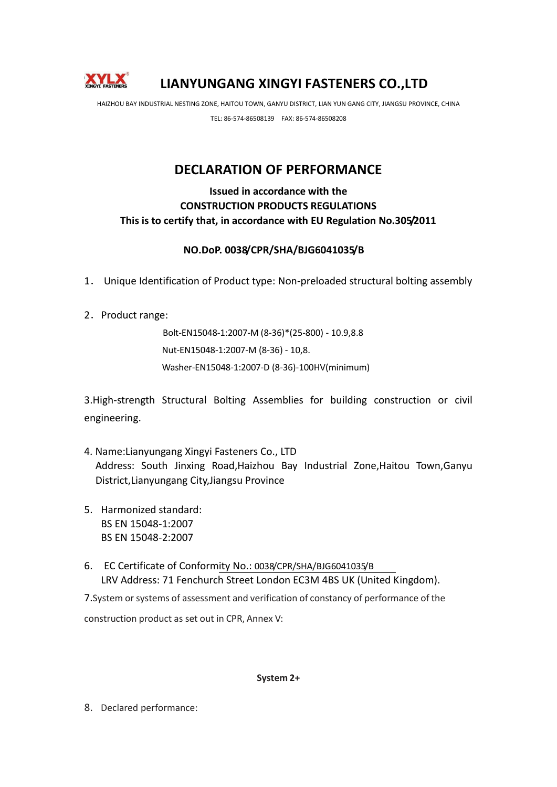

## **LIANYUNGANG XINGYI FASTENERS CO.,LTD**

HAIZHOU BAY INDUSTRIAL NESTING ZONE, HAITOU TOWN, GANYU DISTRICT, LIAN YUN GANG CITY, JIANGSU PROVINCE, CHINA

TEL: 86-574-86508139 FAX: 86-574-86508208

## **DECLARATION OF PERFORMANCE**

## **Issued in accordance with the CONSTRUCTION PRODUCTS REGULATIONS This is to certify that, in accordance with EU Regulation No.305/2011**

## **NO.DoP. 0038/CPR/SHA/BJG6041035/B**

- 1. Unique Identification of Product type: Non-preloaded structural bolting assembly
- 2. Product range:

Bolt‐EN15048‐1:2007‐M (8‐36)\*(25‐800) ‐ 10.9,8.8 Nut‐EN15048‐1:2007‐M (8‐36) ‐ 10,8. Washer‐EN15048‐1:2007‐D (8‐36)‐100HV(minimum)

3.High-strength Structural Bolting Assemblies for building construction or civil engineering.

- 4. Name:Lianyungang Xingyi Fasteners Co., LTD Address: South Jinxing Road,Haizhou Bay Industrial Zone,Haitou Town,Ganyu District,Lianyungang City,Jiangsu Province
- 5. Harmonized standard: BS EN 15048-1:2007 BS EN 15048-2:2007
- 6. EC Certificate of Conformity No.: 0038/CPR/SHA/BJG6041035/B LRV Address: 71 Fenchurch Street London EC3M 4BS UK (United Kingdom).

7.System orsystems of assessment and verification of constancy of performance of the construction product as set out in CPR, Annex V:

**System 2+**

8. Declared performance: